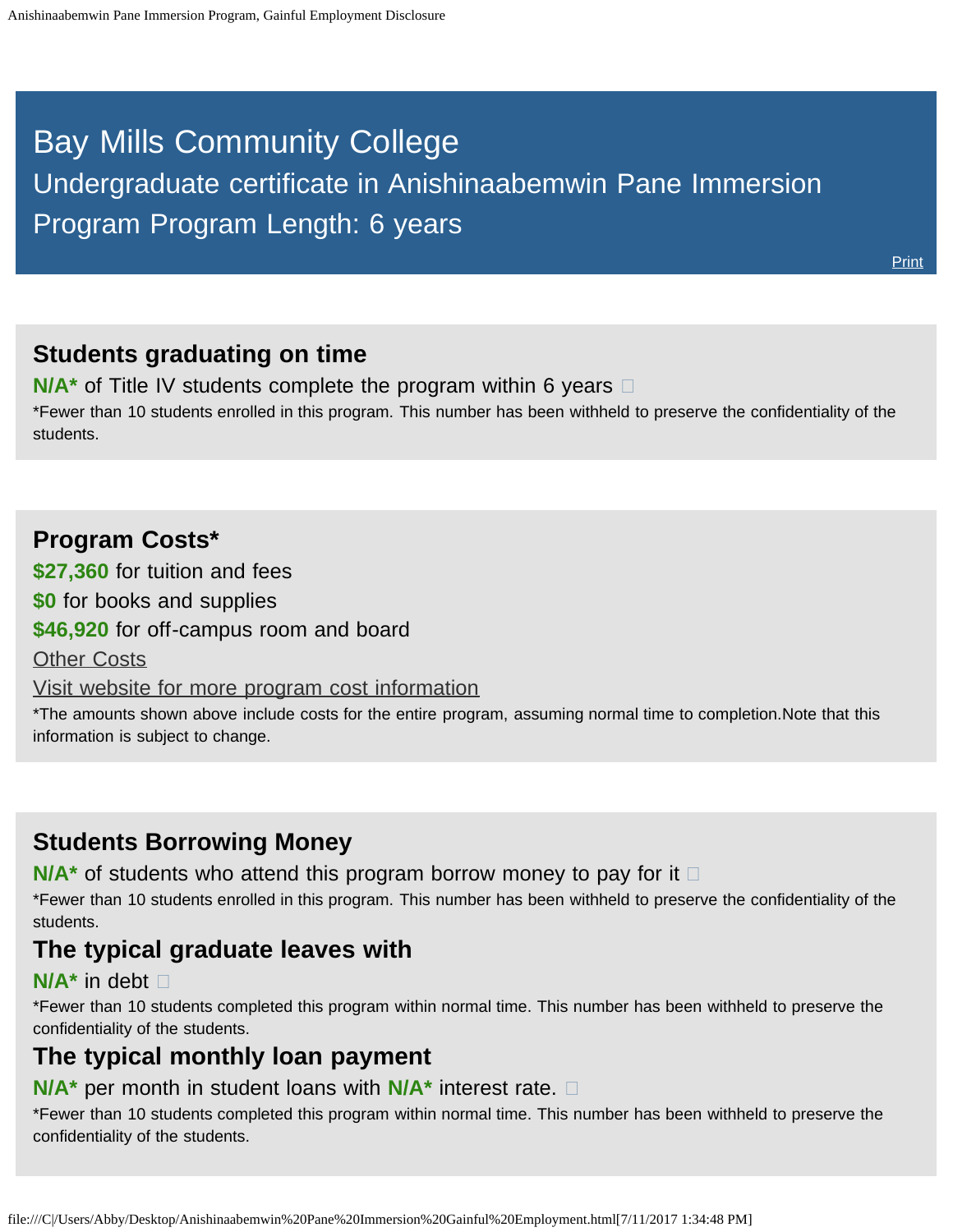# <span id="page-0-0"></span>Bay Mills Community College

Undergraduate certificate in Anishinaabemwin Pane Immersion Program Program Length: 6 years

**[Print](file:///C|/Users/Abby/Desktop/16.1001-GedtPrint.html)** 

#### **Students graduating on time**

**N/A<sup>\*</sup>** of Title IV students complete the program within 6 years  $\Box$ \*Fewer than 10 students enrolled in this program. This number has been withheld to preserve the confidentiality of the students.

#### **Program Costs\***

**\$27,360** for tuition and fees

**\$0** for books and supplies

**\$46,920** for off-campus room and board

**[Other Costs](#page-0-0)** 

[Visit website for more program cost information](http://bmcc.edu/admissions/financial-aid/understanding-tuition)

\*The amounts shown above include costs for the entire program, assuming normal time to completion.Note that this information is subject to change.

## **Students Borrowing Money**

**N/A<sup>★</sup>** of students who attend this program borrow money to pay for it □

\*Fewer than 10 students enrolled in this program. This number has been withheld to preserve the confidentiality of the students.

#### **The typical graduate leaves with**

#### **N/A\*** in debt

\*Fewer than 10 students completed this program within normal time. This number has been withheld to preserve the confidentiality of the students.

# **The typical monthly loan payment**

#### **N/A\*** per month in student loans with **N/A\*** interest rate.

\*Fewer than 10 students completed this program within normal time. This number has been withheld to preserve the confidentiality of the students.